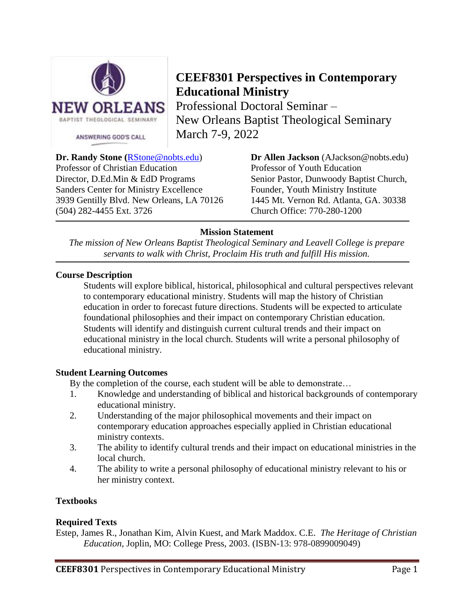

# **CEEF8301 Perspectives in Contemporary Educational Ministry**

Professional Doctoral Seminar – New Orleans Baptist Theological Seminary March 7-9, 2022

Professor of Christian Education Professor of Youth Education Director, D.Ed.Min & EdD Programs Senior Pastor, Dunwoody Baptist Church, Sanders Center for Ministry Excellence Founder, Youth Ministry Institute 3939 Gentilly Blvd. New Orleans, LA 70126 1445 Mt. Vernon Rd. Atlanta, GA. 30338 (504) 282-4455 Ext. 3726 Church Office: 770-280-1200

**Dr. Randy Stone (**[RStone@nobts.edu\)](mailto:RStone@nobts.edu) **Dr Allen Jackson** (AJackson@nobts.edu)

# **Mission Statement**

*The mission of New Orleans Baptist Theological Seminary and Leavell College is prepare servants to walk with Christ, Proclaim His truth and fulfill His mission.* 

# **Course Description**

Students will explore biblical, historical, philosophical and cultural perspectives relevant to contemporary educational ministry. Students will map the history of Christian education in order to forecast future directions. Students will be expected to articulate foundational philosophies and their impact on contemporary Christian education. Students will identify and distinguish current cultural trends and their impact on educational ministry in the local church. Students will write a personal philosophy of educational ministry.

## **Student Learning Outcomes**

By the completion of the course, each student will be able to demonstrate…

- 1. Knowledge and understanding of biblical and historical backgrounds of contemporary educational ministry.
- 2. Understanding of the major philosophical movements and their impact on contemporary education approaches especially applied in Christian educational ministry contexts.
- 3. The ability to identify cultural trends and their impact on educational ministries in the local church.
- 4. The ability to write a personal philosophy of educational ministry relevant to his or her ministry context.

# **Textbooks**

## **Required Texts**

Estep, James R., Jonathan Kim, Alvin Kuest, and Mark Maddox. C.E. *The Heritage of Christian Education,* Joplin, MO: College Press, 2003. (ISBN-13: 978-0899009049)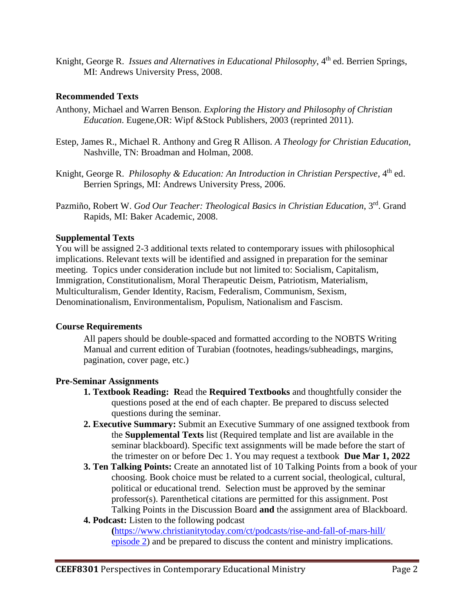Knight, George R. *Issues and Alternatives in Educational Philosophy*, 4<sup>th</sup> ed. Berrien Springs, MI: Andrews University Press, 2008.

## **Recommended Texts**

- Anthony, Michael and Warren Benson. *Exploring the History and Philosophy of Christian Education*. Eugene,OR: Wipf &Stock Publishers, 2003 (reprinted 2011).
- Estep, James R., Michael R. Anthony and Greg R Allison*. A Theology for Christian Education,* Nashville, TN: Broadman and Holman, 2008.
- Knight, George R. Philosophy & Education: An Introduction in Christian Perspective, 4<sup>th</sup> ed. Berrien Springs, MI: Andrews University Press, 2006.
- Pazmiño, Robert W. *God Our Teacher: Theological Basics in Christian Education*, 3rd. Grand Rapids, MI: Baker Academic, 2008.

## **Supplemental Texts**

You will be assigned 2-3 additional texts related to contemporary issues with philosophical implications. Relevant texts will be identified and assigned in preparation for the seminar meeting. Topics under consideration include but not limited to: Socialism, Capitalism, Immigration, Constitutionalism, Moral Therapeutic Deism, Patriotism, Materialism, Multiculturalism, Gender Identity, Racism, Federalism, Communism, Sexism, Denominationalism, Environmentalism, Populism, Nationalism and Fascism.

## **Course Requirements**

All papers should be double-spaced and formatted according to the NOBTS Writing Manual and current edition of Turabian (footnotes, headings/subheadings, margins, pagination, cover page, etc.)

## **Pre-Seminar Assignments**

- **1. Textbook Reading: R**ead the **Required Textbooks** and thoughtfully consider the questions posed at the end of each chapter. Be prepared to discuss selected questions during the seminar.
- **2. Executive Summary:** Submit an Executive Summary of one assigned textbook from the **Supplemental Texts** list (Required template and list are available in the seminar blackboard). Specific text assignments will be made before the start of the trimester on or before Dec 1. You may request a textbook **Due Mar 1, 2022**
- **3. Ten Talking Points:** Create an annotated list of 10 Talking Points from a book of your choosing. Book choice must be related to a current social, theological, cultural, political or educational trend. Selection must be approved by the seminar professor(s). Parenthetical citations are permitted for this assignment. Post Talking Points in the Discussion Board **and** the assignment area of Blackboard.

#### **4. Podcast:** Listen to the following podcast **(**[https://www.christianitytoday.com/ct/podcasts/rise-and-fall-of-mars-hill/](https://www.christianitytoday.com/ct/podcasts/rise-and-fall-of-mars-hill/%20%20episode%202)  [episode 2\)](https://www.christianitytoday.com/ct/podcasts/rise-and-fall-of-mars-hill/%20%20episode%202) and be prepared to discuss the content and ministry implications.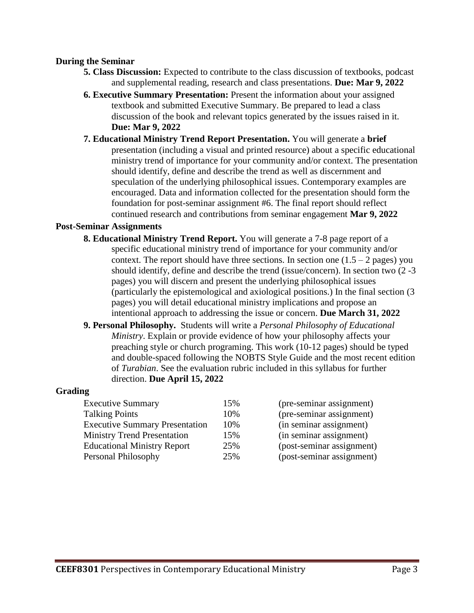#### **During the Seminar**

- **5. Class Discussion:** Expected to contribute to the class discussion of textbooks, podcast and supplemental reading, research and class presentations. **Due: Mar 9, 2022**
- **6. Executive Summary Presentation:** Present the information about your assigned textbook and submitted Executive Summary. Be prepared to lead a class discussion of the book and relevant topics generated by the issues raised in it. **Due: Mar 9, 2022**
- **7. Educational Ministry Trend Report Presentation.** You will generate a **brief**  presentation (including a visual and printed resource) about a specific educational ministry trend of importance for your community and/or context. The presentation should identify, define and describe the trend as well as discernment and speculation of the underlying philosophical issues. Contemporary examples are encouraged. Data and information collected for the presentation should form the foundation for post-seminar assignment #6. The final report should reflect continued research and contributions from seminar engagement **Mar 9, 2022**

#### **Post-Seminar Assignments**

- **8. Educational Ministry Trend Report.** You will generate a 7-8 page report of a specific educational ministry trend of importance for your community and/or context. The report should have three sections. In section one  $(1.5 - 2$  pages) you should identify, define and describe the trend (issue/concern). In section two (2 -3 pages) you will discern and present the underlying philosophical issues (particularly the epistemological and axiological positions.) In the final section (3 pages) you will detail educational ministry implications and propose an intentional approach to addressing the issue or concern. **Due March 31, 2022**
- **9. Personal Philosophy.** Students will write a *Personal Philosophy of Educational Ministry*. Explain or provide evidence of how your philosophy affects your preaching style or church programing. This work (10-12 pages) should be typed and double-spaced following the NOBTS Style Guide and the most recent edition of *Turabian*. See the evaluation rubric included in this syllabus for further direction. **Due April 15, 2022**

#### **Grading**

| <b>Executive Summary</b>              | 15% | (pre-seminar assignment)  |
|---------------------------------------|-----|---------------------------|
| <b>Talking Points</b>                 | 10% | (pre-seminar assignment)  |
| <b>Executive Summary Presentation</b> | 10% | (in seminar assignment)   |
| <b>Ministry Trend Presentation</b>    | 15% | (in seminar assignment)   |
| <b>Educational Ministry Report</b>    | 25% | (post-seminar assignment) |
| Personal Philosophy                   | 25% | (post-seminar assignment) |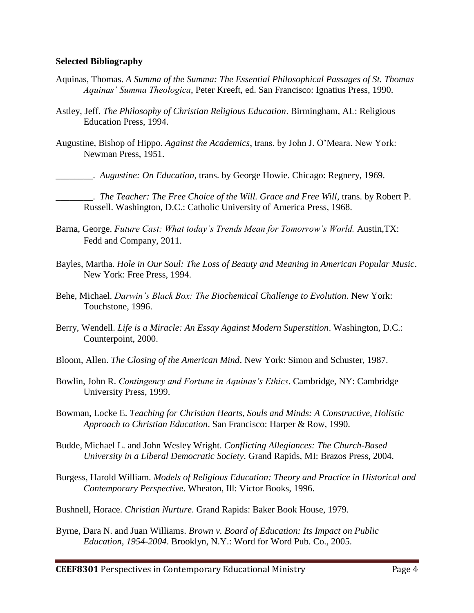#### **Selected Bibliography**

- Aquinas, Thomas. *A Summa of the Summa: The Essential Philosophical Passages of St. Thomas Aquinas' Summa Theologica*, Peter Kreeft, ed. San Francisco: Ignatius Press, 1990.
- Astley, Jeff. *The Philosophy of Christian Religious Education*. Birmingham, AL: Religious Education Press, 1994.
- Augustine, Bishop of Hippo. *Against the Academics*, trans. by John J. O'Meara. New York: Newman Press, 1951.
	- \_\_\_\_\_\_\_\_. *Augustine: On Education*, trans. by George Howie. Chicago: Regnery, 1969.
- \_\_\_\_\_\_\_\_. *The Teacher: The Free Choice of the Will. Grace and Free Will*, trans. by Robert P. Russell. Washington, D.C.: Catholic University of America Press, 1968.
- Barna, George. *Future Cast: What today's Trends Mean for Tomorrow's World.* Austin,TX: Fedd and Company, 2011.
- Bayles, Martha. *Hole in Our Soul: The Loss of Beauty and Meaning in American Popular Music*. New York: Free Press, 1994.
- Behe, Michael. *Darwin's Black Box: The Biochemical Challenge to Evolution*. New York: Touchstone, 1996.
- Berry, Wendell. *Life is a Miracle: An Essay Against Modern Superstition*. Washington, D.C.: Counterpoint, 2000.
- Bloom, Allen. *The Closing of the American Mind*. New York: Simon and Schuster, 1987.
- Bowlin, John R. *Contingency and Fortune in Aquinas's Ethics*. Cambridge, NY: Cambridge University Press, 1999.
- Bowman, Locke E. *Teaching for Christian Hearts, Souls and Minds: A Constructive, Holistic Approach to Christian Education*. San Francisco: Harper & Row, 1990.
- Budde, Michael L. and John Wesley Wright. *Conflicting Allegiances: The Church-Based University in a Liberal Democratic Society*. Grand Rapids, MI: Brazos Press, 2004.
- Burgess, Harold William. *Models of Religious Education: Theory and Practice in Historical and Contemporary Perspective*. Wheaton, Ill: Victor Books, 1996.
- Bushnell, Horace. *Christian Nurture*. Grand Rapids: Baker Book House, 1979.
- Byrne, Dara N. and Juan Williams. *Brown v. Board of Education: Its Impact on Public Education, 1954-2004*. Brooklyn, N.Y.: Word for Word Pub. Co., 2005.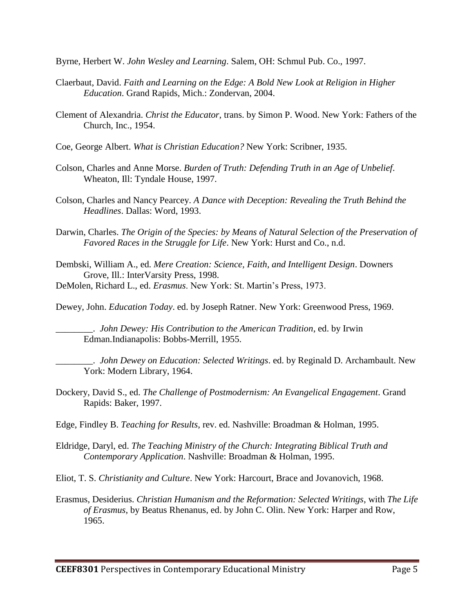Byrne, Herbert W. *John Wesley and Learning*. Salem, OH: Schmul Pub. Co., 1997.

- Claerbaut, David. *Faith and Learning on the Edge: A Bold New Look at Religion in Higher Education*. Grand Rapids, Mich.: Zondervan, 2004.
- Clement of Alexandria. *Christ the Educator*, trans. by Simon P. Wood. New York: Fathers of the Church, Inc., 1954.
- Coe, George Albert. *What is Christian Education?* New York: Scribner, 1935.
- Colson, Charles and Anne Morse. *Burden of Truth: Defending Truth in an Age of Unbelief*. Wheaton, Ill: Tyndale House, 1997.
- Colson, Charles and Nancy Pearcey. *A Dance with Deception: Revealing the Truth Behind the Headlines*. Dallas: Word, 1993.
- Darwin, Charles. *The Origin of the Species: by Means of Natural Selection of the Preservation of Favored Races in the Struggle for Life*. New York: Hurst and Co., n.d.
- Dembski, William A., ed. *Mere Creation: Science, Faith, and Intelligent Design*. Downers Grove, Ill.: InterVarsity Press, 1998.
- DeMolen, Richard L., ed. *Erasmus*. New York: St. Martin's Press, 1973.
- Dewey, John. *Education Today*. ed. by Joseph Ratner. New York: Greenwood Press, 1969.

\_\_\_\_\_\_\_\_. *John Dewey: His Contribution to the American Tradition*, ed. by Irwin Edman.Indianapolis: Bobbs-Merrill, 1955.

\_\_\_\_\_\_\_\_. *John Dewey on Education: Selected Writings*. ed. by Reginald D. Archambault. New York: Modern Library, 1964.

- Dockery, David S., ed. *The Challenge of Postmodernism: An Evangelical Engagement*. Grand Rapids: Baker, 1997.
- Edge, Findley B. *Teaching for Results*, rev. ed. Nashville: Broadman & Holman, 1995.
- Eldridge, Daryl, ed. *The Teaching Ministry of the Church: Integrating Biblical Truth and Contemporary Application*. Nashville: Broadman & Holman, 1995.

Eliot, T. S. *Christianity and Culture*. New York: Harcourt, Brace and Jovanovich, 1968.

Erasmus, Desiderius. *Christian Humanism and the Reformation: Selected Writings*, with *The Life of Erasmus*, by Beatus Rhenanus, ed. by John C. Olin. New York: Harper and Row, 1965.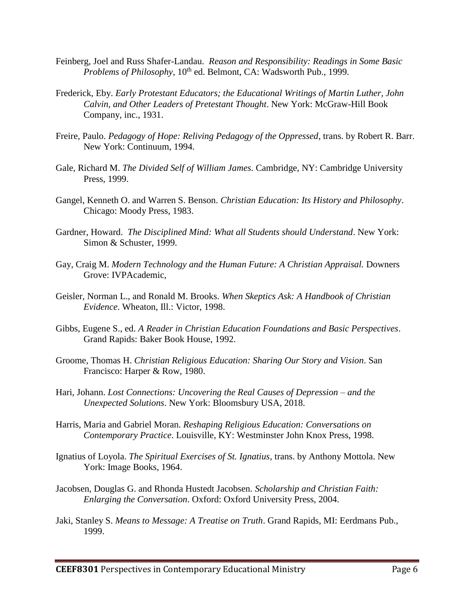- Feinberg, Joel and Russ Shafer-Landau. *Reason and Responsibility: Readings in Some Basic Problems of Philosophy*, 10<sup>th</sup> ed. Belmont, CA: Wadsworth Pub., 1999.
- Frederick, Eby. *Early Protestant Educators; the Educational Writings of Martin Luther, John Calvin, and Other Leaders of Pretestant Thought*. New York: McGraw-Hill Book Company, inc., 1931.
- Freire, Paulo. *Pedagogy of Hope: Reliving Pedagogy of the Oppressed*, trans. by Robert R. Barr. New York: Continuum, 1994.
- Gale, Richard M. *The Divided Self of William James*. Cambridge, NY: Cambridge University Press, 1999.
- Gangel, Kenneth O. and Warren S. Benson. *Christian Education: Its History and Philosophy*. Chicago: Moody Press, 1983.
- Gardner, Howard. *The Disciplined Mind: What all Students should Understand*. New York: Simon & Schuster, 1999.
- Gay, Craig M. *Modern Technology and the Human Future: A Christian Appraisal.* Downers Grove: IVPAcademic,
- Geisler, Norman L., and Ronald M. Brooks. *When Skeptics Ask: A Handbook of Christian Evidence*. Wheaton, Ill.: Victor, 1998.
- Gibbs, Eugene S., ed. *A Reader in Christian Education Foundations and Basic Perspectives*. Grand Rapids: Baker Book House, 1992.
- Groome, Thomas H. *Christian Religious Education: Sharing Our Story and Vision*. San Francisco: Harper & Row, 1980.
- Hari, Johann. *Lost Connections: Uncovering the Real Causes of Depression – and the Unexpected Solutions*. New York: Bloomsbury USA, 2018.
- Harris, Maria and Gabriel Moran. *Reshaping Religious Education: Conversations on Contemporary Practice*. Louisville, KY: Westminster John Knox Press, 1998.
- Ignatius of Loyola. *The Spiritual Exercises of St. Ignatius*, trans. by Anthony Mottola. New York: Image Books, 1964.
- Jacobsen, Douglas G. and Rhonda Hustedt Jacobsen. *Scholarship and Christian Faith: Enlarging the Conversation*. Oxford: Oxford University Press, 2004.
- Jaki, Stanley S. *Means to Message: A Treatise on Truth*. Grand Rapids, MI: Eerdmans Pub., 1999.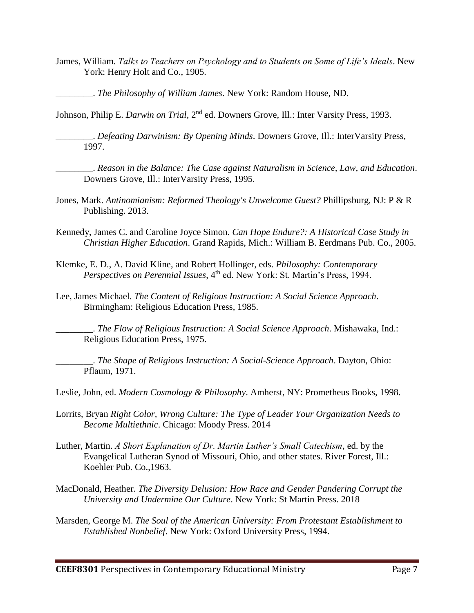- James, William. *Talks to Teachers on Psychology and to Students on Some of Life's Ideals*. New York: Henry Holt and Co., 1905.
	- \_\_\_\_\_\_\_\_. *The Philosophy of William James*. New York: Random House, ND.

Johnson, Philip E. *Darwin on Trial*, 2nd ed. Downers Grove, Ill.: Inter Varsity Press, 1993.

\_\_\_\_\_\_\_\_. *Defeating Darwinism: By Opening Minds*. Downers Grove, Ill.: InterVarsity Press, 1997.

\_\_\_\_\_\_\_\_. *Reason in the Balance: The Case against Naturalism in Science, Law, and Education*. Downers Grove, Ill.: InterVarsity Press, 1995.

- Jones, Mark. *Antinomianism: Reformed Theology's Unwelcome Guest?* Phillipsburg, NJ: P & R Publishing. 2013.
- Kennedy, James C. and Caroline Joyce Simon. *Can Hope Endure?: A Historical Case Study in Christian Higher Education*. Grand Rapids, Mich.: William B. Eerdmans Pub. Co., 2005.
- Klemke, E. D., A. David Kline, and Robert Hollinger, eds. *Philosophy: Contemporary Perspectives on Perennial Issues*, 4<sup>th</sup> ed. New York: St. Martin's Press, 1994.
- Lee, James Michael. *The Content of Religious Instruction: A Social Science Approach*. Birmingham: Religious Education Press, 1985.

\_\_\_\_\_\_\_\_. *The Flow of Religious Instruction: A Social Science Approach*. Mishawaka, Ind.: Religious Education Press, 1975.

\_\_\_\_\_\_\_\_. *The Shape of Religious Instruction: A Social-Science Approach*. Dayton, Ohio: Pflaum, 1971.

Leslie, John, ed. *Modern Cosmology & Philosophy*. Amherst, NY: Prometheus Books, 1998.

- Lorrits, Bryan *Right Color, Wrong Culture: The Type of Leader Your Organization Needs to Become Multiethnic*. Chicago: Moody Press. 2014
- Luther, Martin. *A Short Explanation of Dr. Martin Luther's Small Catechism*, ed. by the Evangelical Lutheran Synod of Missouri, Ohio, and other states. River Forest, Ill.: Koehler Pub. Co.,1963.
- MacDonald, Heather. *The Diversity Delusion: How Race and Gender Pandering Corrupt the University and Undermine Our Culture*. New York: St Martin Press. 2018
- Marsden, George M. *The Soul of the American University: From Protestant Establishment to Established Nonbelief*. New York: Oxford University Press, 1994.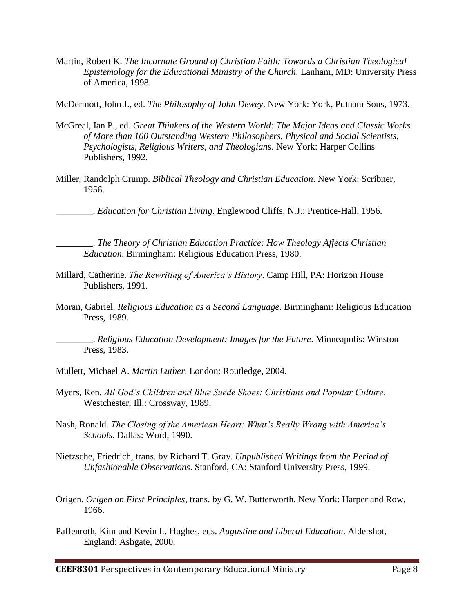Martin, Robert K. *The Incarnate Ground of Christian Faith: Towards a Christian Theological Epistemology for the Educational Ministry of the Church*. Lanham, MD: University Press of America, 1998.

McDermott, John J., ed. *The Philosophy of John Dewey*. New York: York, Putnam Sons, 1973.

- McGreal, Ian P., ed. *Great Thinkers of the Western World: The Major Ideas and Classic Works of More than 100 Outstanding Western Philosophers, Physical and Social Scientists, Psychologists, Religious Writers, and Theologians*. New York: Harper Collins Publishers, 1992.
- Miller, Randolph Crump. *Biblical Theology and Christian Education*. New York: Scribner, 1956.

\_\_\_\_\_\_\_\_. *Education for Christian Living*. Englewood Cliffs, N.J.: Prentice-Hall, 1956.

\_\_\_\_\_\_\_\_. *The Theory of Christian Education Practice: How Theology Affects Christian Education*. Birmingham: Religious Education Press, 1980.

- Millard, Catherine. *The Rewriting of America's History*. Camp Hill, PA: Horizon House Publishers, 1991.
- Moran, Gabriel. *Religious Education as a Second Language*. Birmingham: Religious Education Press, 1989.

\_\_\_\_\_\_\_\_. *Religious Education Development: Images for the Future*. Minneapolis: Winston Press, 1983.

- Mullett, Michael A. *Martin Luther*. London: Routledge, 2004.
- Myers, Ken. *All God's Children and Blue Suede Shoes: Christians and Popular Culture*. Westchester, Ill.: Crossway, 1989.
- Nash, Ronald. *The Closing of the American Heart: What's Really Wrong with America's Schools*. Dallas: Word, 1990.
- Nietzsche, Friedrich, trans. by Richard T. Gray. *Unpublished Writings from the Period of Unfashionable Observations*. Stanford, CA: Stanford University Press, 1999.
- Origen. *Origen on First Principles*, trans. by G. W. Butterworth. New York: Harper and Row, 1966.
- Paffenroth, Kim and Kevin L. Hughes, eds. *Augustine and Liberal Education*. Aldershot, England: Ashgate, 2000.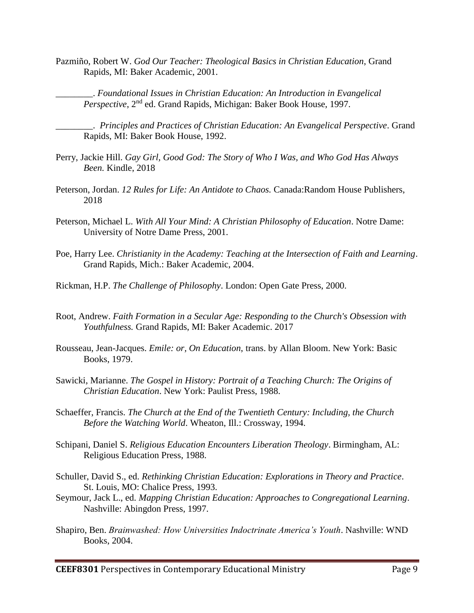Pazmiño, Robert W. *God Our Teacher: Theological Basics in Christian Education*, Grand Rapids, MI: Baker Academic, 2001.

\_\_\_\_\_\_\_\_. *Foundational Issues in Christian Education: An Introduction in Evangelical Perspective*, 2<sup>nd</sup> ed. Grand Rapids, Michigan: Baker Book House, 1997.

\_\_\_\_\_\_\_\_. *Principles and Practices of Christian Education: An Evangelical Perspective*. Grand Rapids, MI: Baker Book House, 1992.

- Perry, Jackie Hill. *Gay Girl, Good God: The Story of Who I Was, and Who God Has Always Been.* Kindle, 2018
- Peterson, Jordan. *12 Rules for Life: An Antidote to Chaos.* Canada:Random House Publishers, 2018
- Peterson, Michael L. *With All Your Mind: A Christian Philosophy of Education*. Notre Dame: University of Notre Dame Press, 2001.
- Poe, Harry Lee. *Christianity in the Academy: Teaching at the Intersection of Faith and Learning*. Grand Rapids, Mich.: Baker Academic, 2004.
- Rickman, H.P. *The Challenge of Philosophy*. London: Open Gate Press, 2000.
- Root, Andrew. *Faith Formation in a Secular Age: Responding to the Church's Obsession with Youthfulness.* Grand Rapids, MI: Baker Academic. 2017
- Rousseau, Jean-Jacques. *Emile: or, On Education*, trans. by Allan Bloom. New York: Basic Books, 1979.
- Sawicki, Marianne. *The Gospel in History: Portrait of a Teaching Church: The Origins of Christian Education*. New York: Paulist Press, 1988.
- Schaeffer, Francis. *The Church at the End of the Twentieth Century: Including, the Church Before the Watching World*. Wheaton, Ill.: Crossway, 1994.
- Schipani, Daniel S. *Religious Education Encounters Liberation Theology*. Birmingham, AL: Religious Education Press, 1988.
- Schuller, David S., ed. *Rethinking Christian Education: Explorations in Theory and Practice*. St. Louis, MO: Chalice Press, 1993.
- Seymour, Jack L., ed. *Mapping Christian Education: Approaches to Congregational Learning*. Nashville: Abingdon Press, 1997.
- Shapiro, Ben. *Brainwashed: How Universities Indoctrinate America's Youth*. Nashville: WND Books, 2004.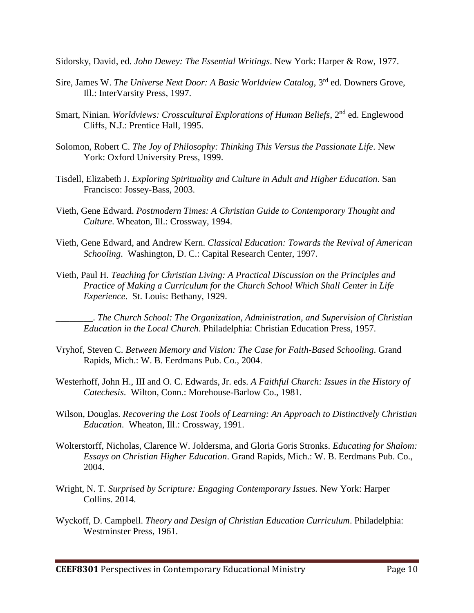Sidorsky, David, ed. *John Dewey: The Essential Writings*. New York: Harper & Row, 1977.

- Sire, James W. *The Universe Next Door: A Basic Worldview Catalog*, 3<sup>rd</sup> ed. Downers Grove, Ill.: InterVarsity Press, 1997.
- Smart, Ninian. *Worldviews: Crosscultural Explorations of Human Beliefs*, 2<sup>nd</sup> ed. Englewood Cliffs, N.J.: Prentice Hall, 1995.
- Solomon, Robert C. *The Joy of Philosophy: Thinking This Versus the Passionate Life*. New York: Oxford University Press, 1999.
- Tisdell, Elizabeth J. *Exploring Spirituality and Culture in Adult and Higher Education*. San Francisco: Jossey-Bass, 2003.
- Vieth, Gene Edward. *Postmodern Times: A Christian Guide to Contemporary Thought and Culture*. Wheaton, Ill.: Crossway, 1994.
- Vieth, Gene Edward, and Andrew Kern. *Classical Education: Towards the Revival of American Schooling*. Washington, D. C.: Capital Research Center, 1997.
- Vieth, Paul H. *Teaching for Christian Living: A Practical Discussion on the Principles and Practice of Making a Curriculum for the Church School Which Shall Center in Life Experience*. St. Louis: Bethany, 1929.

\_\_\_\_\_\_\_\_. *The Church School: The Organization, Administration, and Supervision of Christian Education in the Local Church*. Philadelphia: Christian Education Press, 1957.

- Vryhof, Steven C. *Between Memory and Vision: The Case for Faith-Based Schooling*. Grand Rapids, Mich.: W. B. Eerdmans Pub. Co., 2004.
- Westerhoff, John H., III and O. C. Edwards, Jr. eds. *A Faithful Church: Issues in the History of Catechesis*. Wilton, Conn.: Morehouse-Barlow Co., 1981.
- Wilson, Douglas. *Recovering the Lost Tools of Learning: An Approach to Distinctively Christian Education*. Wheaton, Ill.: Crossway, 1991.
- Wolterstorff, Nicholas, Clarence W. Joldersma, and Gloria Goris Stronks. *Educating for Shalom: Essays on Christian Higher Education*. Grand Rapids, Mich.: W. B. Eerdmans Pub. Co., 2004.
- Wright, N. T. *Surprised by Scripture: Engaging Contemporary Issues.* New York: Harper Collins. 2014.
- Wyckoff, D. Campbell. *Theory and Design of Christian Education Curriculum*. Philadelphia: Westminster Press, 1961.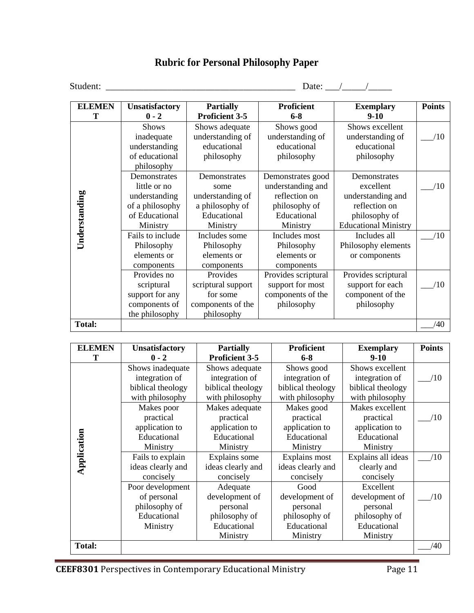# **Rubric for Personal Philosophy Paper**

Student: \_\_\_\_\_\_\_\_\_\_\_\_\_\_\_\_\_\_\_\_\_\_\_\_\_\_\_\_\_\_\_\_\_\_\_\_\_\_\_\_ Date: \_\_\_/\_\_\_\_\_/\_\_\_\_\_

| <b>ELEMEN</b> | <b>Unsatisfactory</b>                                                                          | <b>Partially</b>                                                                       | <b>Proficient</b>                                                                                   | <b>Exemplary</b>                                                                                                | <b>Points</b> |
|---------------|------------------------------------------------------------------------------------------------|----------------------------------------------------------------------------------------|-----------------------------------------------------------------------------------------------------|-----------------------------------------------------------------------------------------------------------------|---------------|
|               | $0 - 2$                                                                                        | <b>Proficient 3-5</b>                                                                  | $6 - 8$                                                                                             | $9-10$                                                                                                          |               |
| Understanding | <b>Shows</b><br>inadequate<br>understanding<br>of educational<br>philosophy                    | Shows adequate<br>understanding of<br>educational<br>philosophy                        | Shows good<br>understanding of<br>educational<br>philosophy                                         | Shows excellent<br>understanding of<br>educational<br>philosophy                                                | /10           |
|               | Demonstrates<br>little or no<br>understanding<br>of a philosophy<br>of Educational<br>Ministry | Demonstrates<br>some<br>understanding of<br>a philosophy of<br>Educational<br>Ministry | Demonstrates good<br>understanding and<br>reflection on<br>philosophy of<br>Educational<br>Ministry | Demonstrates<br>excellent<br>understanding and<br>reflection on<br>philosophy of<br><b>Educational Ministry</b> | /10           |
|               | Fails to include<br>Philosophy<br>elements or<br>components                                    | Includes some<br>Philosophy<br>elements or<br>components                               | Includes most<br>Philosophy<br>elements or<br>components                                            | Includes all<br>Philosophy elements<br>or components                                                            | /10           |
|               | Provides no<br>scriptural<br>support for any<br>components of<br>the philosophy                | Provides<br>scriptural support<br>for some<br>components of the<br>philosophy          | Provides scriptural<br>support for most<br>components of the<br>philosophy                          | Provides scriptural<br>support for each<br>component of the<br>philosophy                                       | /10           |
| <b>Total:</b> |                                                                                                |                                                                                        |                                                                                                     |                                                                                                                 | /40           |

| <b>ELEMEN</b> | Unsatisfactory    | <b>Partially</b>      | <b>Proficient</b> | <b>Exemplary</b>   | <b>Points</b> |
|---------------|-------------------|-----------------------|-------------------|--------------------|---------------|
| т             | $0 - 2$           | <b>Proficient 3-5</b> | $6 - 8$           | $9-10$             |               |
|               | Shows inadequate  | Shows adequate        | Shows good        | Shows excellent    |               |
|               | integration of    | integration of        | integration of    | integration of     | /10           |
|               | biblical theology | biblical theology     | biblical theology | biblical theology  |               |
|               | with philosophy   | with philosophy       | with philosophy   | with philosophy    |               |
|               | Makes poor        | Makes adequate        | Makes good        | Makes excellent    |               |
|               | practical         | practical             | practical         | practical          | /10           |
|               | application to    | application to        | application to    | application to     |               |
|               | Educational       | Educational           | Educational       | Educational        |               |
|               | Ministry          | Ministry              | Ministry          | Ministry           |               |
| Application   | Fails to explain  | Explains some         | Explains most     | Explains all ideas | /10           |
|               | ideas clearly and | ideas clearly and     | ideas clearly and | clearly and        |               |
|               | concisely         | concisely             | concisely         | concisely          |               |
|               | Poor development  | Adequate              | Good              | Excellent          |               |
|               | of personal       | development of        | development of    | development of     | /10           |
|               | philosophy of     | personal              | personal          | personal           |               |
|               | Educational       | philosophy of         | philosophy of     | philosophy of      |               |
|               | Ministry          | Educational           | Educational       | Educational        |               |
|               |                   | Ministry              | Ministry          | Ministry           |               |
| <b>Total:</b> |                   |                       |                   |                    | /40           |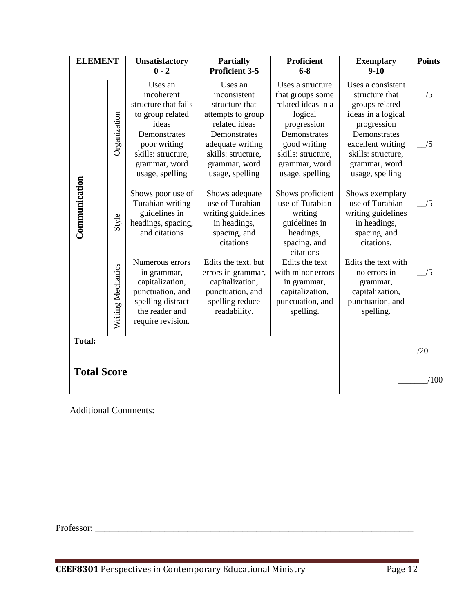| <b>ELEMENT</b>     |                   | <b>Unsatisfactory</b><br>$0 - 2$                                                                                                  | <b>Partially</b><br><b>Proficient 3-5</b>                                                                           | <b>Proficient</b><br>$6 - 8$                                                                              | <b>Exemplary</b><br>$9-10$                                                                             | <b>Points</b> |
|--------------------|-------------------|-----------------------------------------------------------------------------------------------------------------------------------|---------------------------------------------------------------------------------------------------------------------|-----------------------------------------------------------------------------------------------------------|--------------------------------------------------------------------------------------------------------|---------------|
| Communication      |                   | Uses an<br>incoherent<br>structure that fails<br>to group related<br>ideas                                                        | Uses an<br>inconsistent<br>structure that<br>attempts to group<br>related ideas                                     | Uses a structure<br>that groups some<br>related ideas in a<br>logical<br>progression                      | Uses a consistent<br>structure that<br>groups related<br>ideas in a logical<br>progression             | /5            |
|                    | Organization      | Demonstrates<br>poor writing<br>skills: structure,<br>grammar, word<br>usage, spelling                                            | Demonstrates<br>adequate writing<br>skills: structure,<br>grammar, word<br>usage, spelling                          | Demonstrates<br>good writing<br>skills: structure,<br>grammar, word<br>usage, spelling                    | Demonstrates<br>excellent writing<br>skills: structure,<br>grammar, word<br>usage, spelling            | /5            |
|                    | Style             | Shows poor use of<br>Turabian writing<br>guidelines in<br>headings, spacing,<br>and citations                                     | Shows adequate<br>use of Turabian<br>writing guidelines<br>in headings,<br>spacing, and<br>citations                | Shows proficient<br>use of Turabian<br>writing<br>guidelines in<br>headings,<br>spacing, and<br>citations | Shows exemplary<br>use of Turabian<br>writing guidelines<br>in headings,<br>spacing, and<br>citations. | /5            |
|                    | Writing Mechanics | Numerous errors<br>in grammar,<br>capitalization,<br>punctuation, and<br>spelling distract<br>the reader and<br>require revision. | Edits the text, but<br>errors in grammar,<br>capitalization,<br>punctuation, and<br>spelling reduce<br>readability. | Edits the text<br>with minor errors<br>in grammar,<br>capitalization,<br>punctuation, and<br>spelling.    | Edits the text with<br>no errors in<br>grammar,<br>capitalization,<br>punctuation, and<br>spelling.    | /5            |
| <b>Total:</b>      |                   |                                                                                                                                   |                                                                                                                     |                                                                                                           |                                                                                                        | /20           |
| <b>Total Score</b> |                   |                                                                                                                                   |                                                                                                                     |                                                                                                           | /100                                                                                                   |               |

Additional Comments:

Professor: \_\_\_\_\_\_\_\_\_\_\_\_\_\_\_\_\_\_\_\_\_\_\_\_\_\_\_\_\_\_\_\_\_\_\_\_\_\_\_\_\_\_\_\_\_\_\_\_\_\_\_\_\_\_\_\_\_\_\_\_\_\_\_\_\_\_\_\_\_